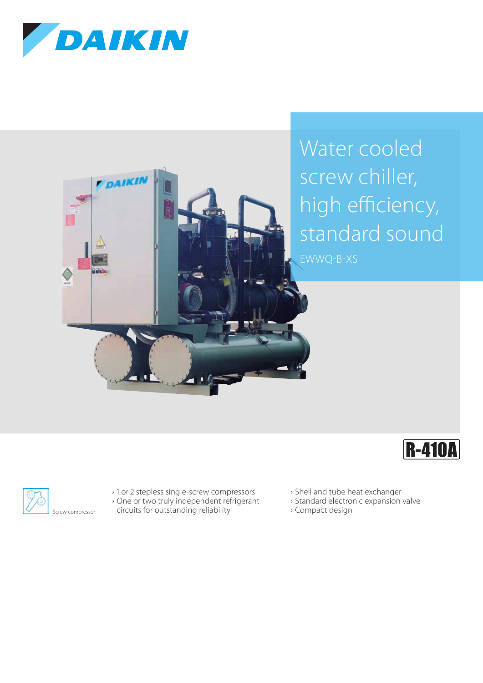

DAIKIN

Water cooled screw chiller, high efficiency, standard sound EWWQ-B-XS





› 1 or 2 stepless single-screw compressors › One or two truly independent refrigerant

- circuits for outstanding reliability
- › Shell and tube heat exchanger
- › Standard electronic expansion valve
- › Compact design